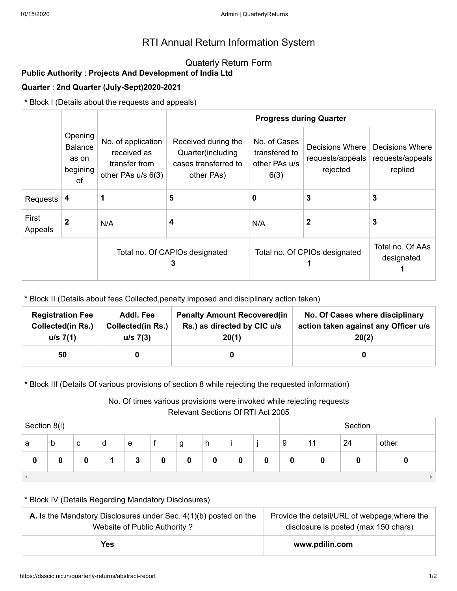# RTI Annual Return Information System

## Quaterly Return Form

## **Public Authority** : **Projects And Development of India Ltd**

#### **Quarter** : **2nd Quarter (July-Sept)2020-2021**

**\*** Block I (Details about the requests and appeals)

|                  |                                                      |                                                                          | <b>Progress during Quarter</b>                                                                                                           |                               |                                                 |                                                |  |  |
|------------------|------------------------------------------------------|--------------------------------------------------------------------------|------------------------------------------------------------------------------------------------------------------------------------------|-------------------------------|-------------------------------------------------|------------------------------------------------|--|--|
|                  | Opening<br><b>Balance</b><br>as on<br>begining<br>of | No. of application<br>received as<br>transfer from<br>other PAs u/s 6(3) | No. of Cases<br>Received during the<br>Quarter(including<br>transfered to<br>cases transferred to<br>other PAs u/s<br>other PAs)<br>6(3) |                               | Decisions Where<br>requests/appeals<br>rejected | Decisions Where<br>requests/appeals<br>replied |  |  |
| Requests         | 4                                                    | 1                                                                        | 5                                                                                                                                        | 0                             | 3                                               | 3                                              |  |  |
| First<br>Appeals | $\mathbf{2}$                                         | N/A                                                                      | 4                                                                                                                                        | N/A                           | $\mathbf{2}$                                    | 3                                              |  |  |
|                  |                                                      | Total no. Of CAPIOs designated<br>3                                      |                                                                                                                                          | Total no. Of CPIOs designated | Total no. Of AAs<br>designated                  |                                                |  |  |

**\*** Block II (Details about fees Collected,penalty imposed and disciplinary action taken)

| <b>Registration Fee</b>  | Addl. Fee                | <b>Penalty Amount Recovered (in</b> | No. Of Cases where disciplinary      |
|--------------------------|--------------------------|-------------------------------------|--------------------------------------|
| <b>Collected(in Rs.)</b> | <b>Collected(in Rs.)</b> | Rs.) as directed by CIC u/s         | action taken against any Officer u/s |
| u/s 7(1)                 | u/s 7(3)                 | 20(1)                               | 20(2)                                |
| 50                       |                          |                                     |                                      |

**\*** Block III (Details Of various provisions of section 8 while rejecting the requested information)

No. Of times various provisions were invoked while rejecting requests

Relevant Sections Of RTI Act 2005

| Televallt Sections OFTVITACLZ009<br>Section 8(i) |   |   |   |   | Section |   |   |   |   |    |    |       |
|--------------------------------------------------|---|---|---|---|---------|---|---|---|---|----|----|-------|
| a                                                | b | с | d | е | g       | h |   |   | 9 | 11 | 24 | other |
| 0                                                |   |   |   |   | 0       | 0 | o | 0 | 0 |    |    |       |
|                                                  |   |   |   |   |         |   |   |   |   |    |    |       |

#### **\*** Block IV (Details Regarding Mandatory Disclosures)

| <b>A.</b> Is the Mandatory Disclosures under Sec. $4(1)(b)$ posted on the | Provide the detail/URL of webpage, where the |  |  |  |
|---------------------------------------------------------------------------|----------------------------------------------|--|--|--|
| Website of Public Authority?                                              | disclosure is posted (max 150 chars)         |  |  |  |
| Yes                                                                       | www.pdilin.com                               |  |  |  |